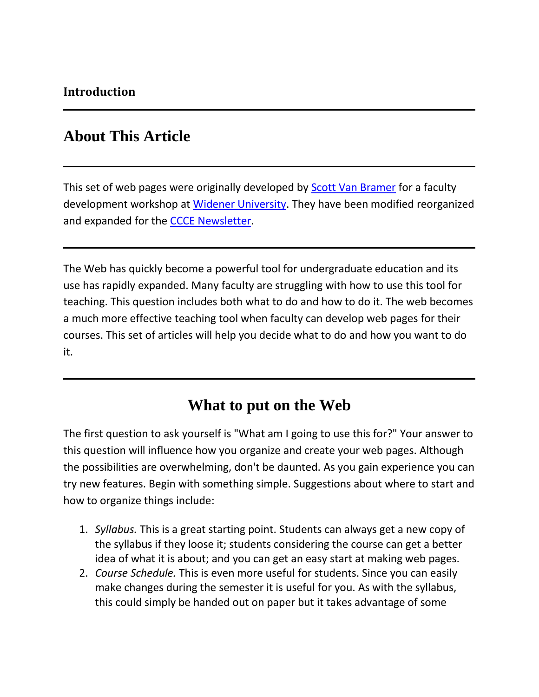## **About This Article**

This set of web pages were originally developed by **[Scott Van Bramer](http://science.widener.edu/~svanbram)** for a faculty development workshop at [Widener University.](http://www.widener.edu/) They have been modified reorganized and expanded for the [CCCE Newsletter.](http://www.ched-ccce.org/newsletter/index.html)

The Web has quickly become a powerful tool for undergraduate education and its use has rapidly expanded. Many faculty are struggling with how to use this tool for teaching. This question includes both what to do and how to do it. The web becomes a much more effective teaching tool when faculty can develop web pages for their courses. This set of articles will help you decide what to do and how you want to do it.

## **What to put on the Web**

The first question to ask yourself is "What am I going to use this for?" Your answer to this question will influence how you organize and create your web pages. Although the possibilities are overwhelming, don't be daunted. As you gain experience you can try new features. Begin with something simple. Suggestions about where to start and how to organize things include:

- 1. *Syllabus.* This is a great starting point. Students can always get a new copy of the syllabus if they loose it; students considering the course can get a better idea of what it is about; and you can get an easy start at making web pages.
- 2. *Course Schedule.* This is even more useful for students. Since you can easily make changes during the semester it is useful for you. As with the syllabus, this could simply be handed out on paper but it takes advantage of some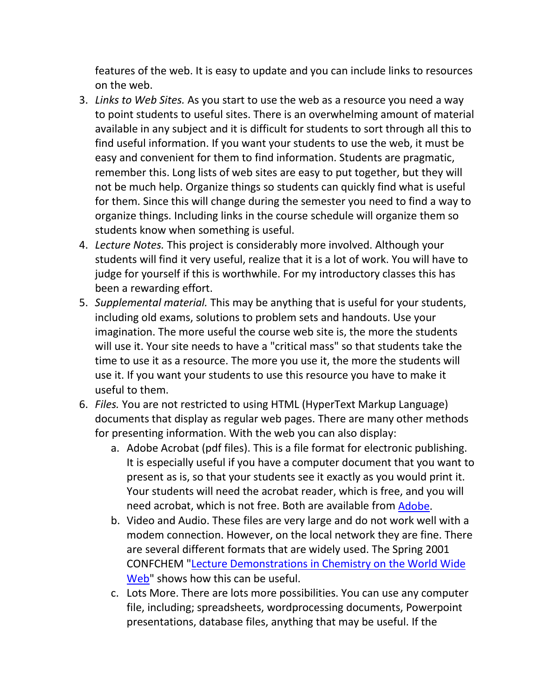features of the web. It is easy to update and you can include links to resources on the web.

- 3. *Links to Web Sites.* As you start to use the web as a resource you need a way to point students to useful sites. There is an overwhelming amount of material available in any subject and it is difficult for students to sort through all this to find useful information. If you want your students to use the web, it must be easy and convenient for them to find information. Students are pragmatic, remember this. Long lists of web sites are easy to put together, but they will not be much help. Organize things so students can quickly find what is useful for them. Since this will change during the semester you need to find a way to organize things. Including links in the course schedule will organize them so students know when something is useful.
- 4. *Lecture Notes.* This project is considerably more involved. Although your students will find it very useful, realize that it is a lot of work. You will have to judge for yourself if this is worthwhile. For my introductory classes this has been a rewarding effort.
- 5. *Supplemental material.* This may be anything that is useful for your students, including old exams, solutions to problem sets and handouts. Use your imagination. The more useful the course web site is, the more the students will use it. Your site needs to have a "critical mass" so that students take the time to use it as a resource. The more you use it, the more the students will use it. If you want your students to use this resource you have to make it useful to them.
- 6. *Files.* You are not restricted to using HTML (HyperText Markup Language) documents that display as regular web pages. There are many other methods for presenting information. With the web you can also display:
	- a. Adobe Acrobat (pdf files). This is a file format for electronic publishing. It is especially useful if you have a computer document that you want to present as is, so that your students see it exactly as you would print it. Your students will need the acrobat reader, which is free, and you will need acrobat, which is not free. Both are available from [Adobe.](http://www.adobe.com/)
	- b. Video and Audio. These files are very large and do not work well with a modem connection. However, on the local network they are fine. There are several different formats that are widely used. The Spring 2001 CONFCHEM ["Lecture Demonstrations in Chemistry on the World Wide](http://www.ched-ccce.org/confchem/2001/a/index.html)  [Web"](http://www.ched-ccce.org/confchem/2001/a/index.html) shows how this can be useful.
	- c. Lots More. There are lots more possibilities. You can use any computer file, including; spreadsheets, wordprocessing documents, Powerpoint presentations, database files, anything that may be useful. If the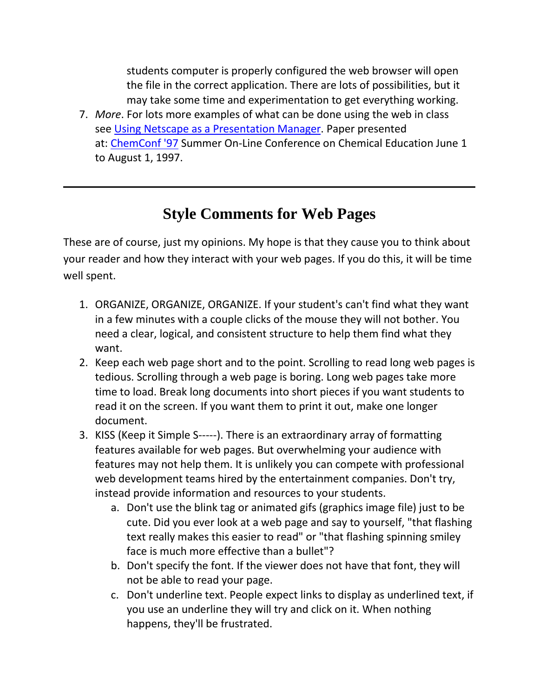students computer is properly configured the web browser will open the file in the correct application. There are lots of possibilities, but it may take some time and experimentation to get everything working.

7. *More*. For lots more examples of what can be done using the web in class see [Using Netscape as a Presentation Manager.](http://www.science.widener.edu/~bramer/chemconf/) Paper presented at: [ChemConf '97](http://www.inform.umd.edu/EdRes/Topic/Chemistry/ChemConference/ChemConf97/) Summer On-Line Conference on Chemical Education June 1 to August 1, 1997.

# **Style Comments for Web Pages**

These are of course, just my opinions. My hope is that they cause you to think about your reader and how they interact with your web pages. If you do this, it will be time well spent.

- 1. ORGANIZE, ORGANIZE, ORGANIZE. If your student's can't find what they want in a few minutes with a couple clicks of the mouse they will not bother. You need a clear, logical, and consistent structure to help them find what they want.
- 2. Keep each web page short and to the point. Scrolling to read long web pages is tedious. Scrolling through a web page is boring. Long web pages take more time to load. Break long documents into short pieces if you want students to read it on the screen. If you want them to print it out, make one longer document.
- 3. KISS (Keep it Simple S-----). There is an extraordinary array of formatting features available for web pages. But overwhelming your audience with features may not help them. It is unlikely you can compete with professional web development teams hired by the entertainment companies. Don't try, instead provide information and resources to your students.
	- a. Don't use the blink tag or animated gifs (graphics image file) just to be cute. Did you ever look at a web page and say to yourself, "that flashing text really makes this easier to read" or "that flashing spinning smiley face is much more effective than a bullet"?
	- b. Don't specify the font. If the viewer does not have that font, they will not be able to read your page.
	- c. Don't underline text. People expect links to display as underlined text, if you use an underline they will try and click on it. When nothing happens, they'll be frustrated.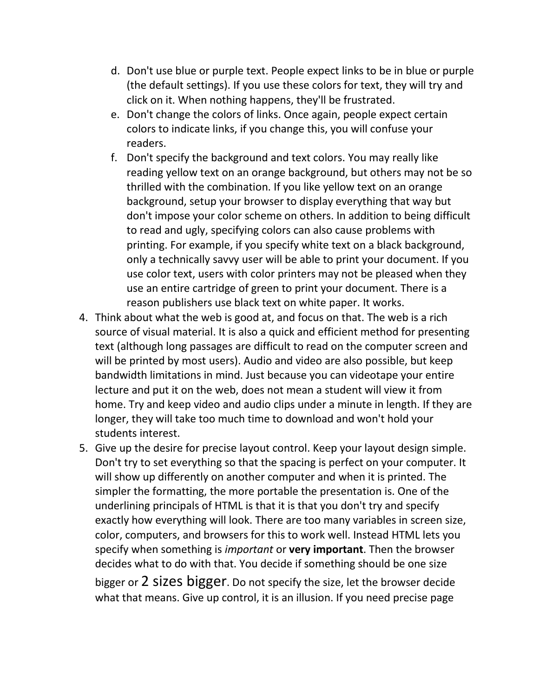- d. Don't use blue or purple text. People expect links to be in blue or purple (the default settings). If you use these colors for text, they will try and click on it. When nothing happens, they'll be frustrated.
- e. Don't change the colors of links. Once again, people expect certain colors to indicate links, if you change this, you will confuse your readers.
- f. Don't specify the background and text colors. You may really like reading yellow text on an orange background, but others may not be so thrilled with the combination. If you like yellow text on an orange background, setup your browser to display everything that way but don't impose your color scheme on others. In addition to being difficult to read and ugly, specifying colors can also cause problems with printing. For example, if you specify white text on a black background, only a technically savvy user will be able to print your document. If you use color text, users with color printers may not be pleased when they use an entire cartridge of green to print your document. There is a reason publishers use black text on white paper. It works.
- 4. Think about what the web is good at, and focus on that. The web is a rich source of visual material. It is also a quick and efficient method for presenting text (although long passages are difficult to read on the computer screen and will be printed by most users). Audio and video are also possible, but keep bandwidth limitations in mind. Just because you can videotape your entire lecture and put it on the web, does not mean a student will view it from home. Try and keep video and audio clips under a minute in length. If they are longer, they will take too much time to download and won't hold your students interest.
- 5. Give up the desire for precise layout control. Keep your layout design simple. Don't try to set everything so that the spacing is perfect on your computer. It will show up differently on another computer and when it is printed. The simpler the formatting, the more portable the presentation is. One of the underlining principals of HTML is that it is that you don't try and specify exactly how everything will look. There are too many variables in screen size, color, computers, and browsers for this to work well. Instead HTML lets you specify when something is *important* or **very important**. Then the browser decides what to do with that. You decide if something should be one size bigger or 2 sizes bigger. Do not specify the size, let the browser decide

what that means. Give up control, it is an illusion. If you need precise page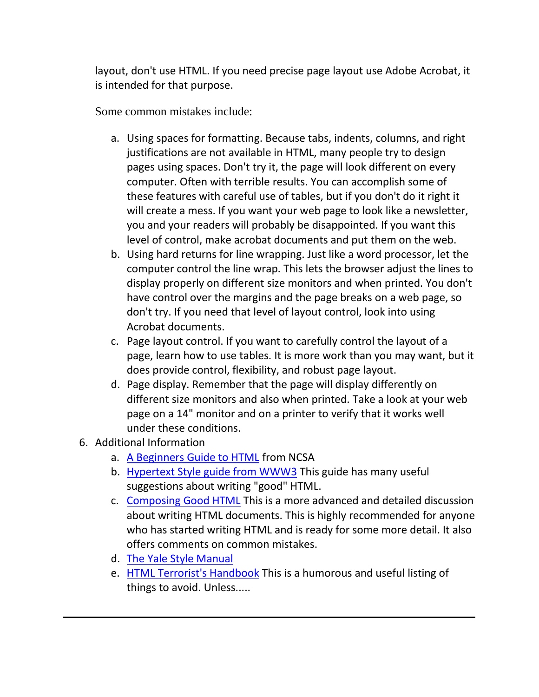layout, don't use HTML. If you need precise page layout use Adobe Acrobat, it is intended for that purpose.

Some common mistakes include:

- a. Using spaces for formatting. Because tabs, indents, columns, and right justifications are not available in HTML, many people try to design pages using spaces. Don't try it, the page will look different on every computer. Often with terrible results. You can accomplish some of these features with careful use of tables, but if you don't do it right it will create a mess. If you want your web page to look like a newsletter, you and your readers will probably be disappointed. If you want this level of control, make acrobat documents and put them on the web.
- b. Using hard returns for line wrapping. Just like a word processor, let the computer control the line wrap. This lets the browser adjust the lines to display properly on different size monitors and when printed. You don't have control over the margins and the page breaks on a web page, so don't try. If you need that level of layout control, look into using Acrobat documents.
- c. Page layout control. If you want to carefully control the layout of a page, learn how to use tables. It is more work than you may want, but it does provide control, flexibility, and robust page layout.
- d. Page display. Remember that the page will display differently on different size monitors and also when printed. Take a look at your web page on a 14" monitor and on a printer to verify that it works well under these conditions.
- 6. Additional Information
	- a. [A Beginners Guide to HTML](http://www.ncsa.uiuc.edu/General/Internet/WWW/HTMLPrimer.html) from NCSA
	- b. [Hypertext Style guide from WWW3](http://www.w3.org/pub/WWW/Provider/Style/) This guide has many useful suggestions about writing "good" HTML.
	- c. [Composing Good HTML](http://www.ology.org/tilt/cgh/) This is a more advanced and detailed discussion about writing HTML documents. This is highly recommended for anyone who has started writing HTML and is ready for some more detail. It also offers comments on common mistakes.
	- d. [The Yale Style Manual](http://info.med.yale.edu/caim/manual/)
	- e. [HTML Terrorist's Handbook](http://www.itds.eku.edu/ac/web/FASTWEB/HTMLOUCH.HTM) This is a humorous and useful listing of things to avoid. Unless.....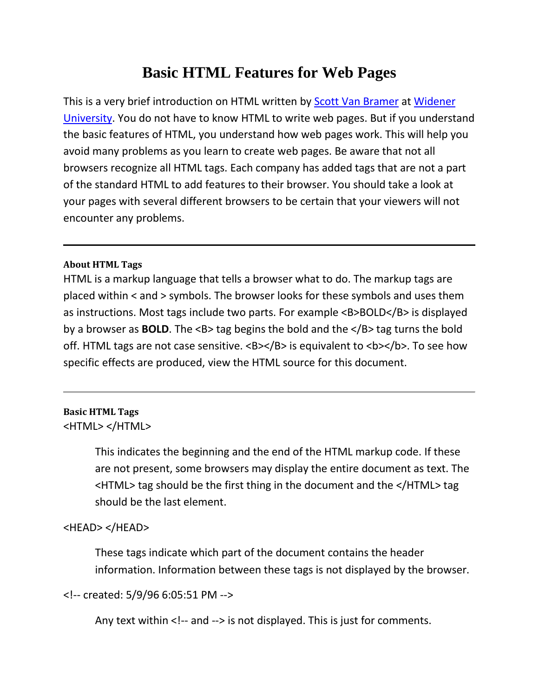# **Basic HTML Features for Web Pages**

This is a very brief introduction on HTML written by [Scott Van Bramer](http://science.widener.edu/~svanbram) at [Widener](http://www.widener.edu/)  [University.](http://www.widener.edu/) You do not have to know HTML to write web pages. But if you understand the basic features of HTML, you understand how web pages work. This will help you avoid many problems as you learn to create web pages. Be aware that not all browsers recognize all HTML tags. Each company has added tags that are not a part of the standard HTML to add features to their browser. You should take a look at your pages with several different browsers to be certain that your viewers will not encounter any problems.

#### **About HTML Tags**

HTML is a markup language that tells a browser what to do. The markup tags are placed within < and > symbols. The browser looks for these symbols and uses them as instructions. Most tags include two parts. For example <B>BOLD</B> is displayed by a browser as **BOLD**. The <B> tag begins the bold and the </B> tag turns the bold off. HTML tags are not case sensitive. <B></B> is equivalent to <b></b>. To see how specific effects are produced, view the HTML source for this document.

## **Basic HTML Tags**

<HTML> </HTML>

This indicates the beginning and the end of the HTML markup code. If these are not present, some browsers may display the entire document as text. The <HTML> tag should be the first thing in the document and the </HTML> tag should be the last element.

### <HEAD> </HEAD>

These tags indicate which part of the document contains the header information. Information between these tags is not displayed by the browser.

<!-- created: 5/9/96 6:05:51 PM -->

Any text within <!-- and --> is not displayed. This is just for comments.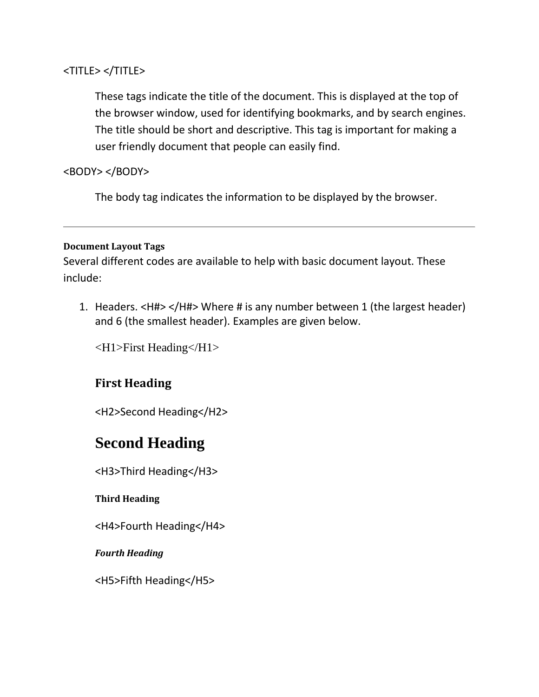### <TITLE> </TITLE>

These tags indicate the title of the document. This is displayed at the top of the browser window, used for identifying bookmarks, and by search engines. The title should be short and descriptive. This tag is important for making a user friendly document that people can easily find.

## <BODY> </BODY>

The body tag indicates the information to be displayed by the browser.

#### **Document Layout Tags**

Several different codes are available to help with basic document layout. These include:

1. Headers. <H#> </H#> Where # is any number between 1 (the largest header) and 6 (the smallest header). Examples are given below.

<H1>First Heading</H1>

## **First Heading**

<H2>Second Heading</H2>

# **Second Heading**

<H3>Third Heading</H3>

### **Third Heading**

<H4>Fourth Heading</H4>

*Fourth Heading*

<H5>Fifth Heading</H5>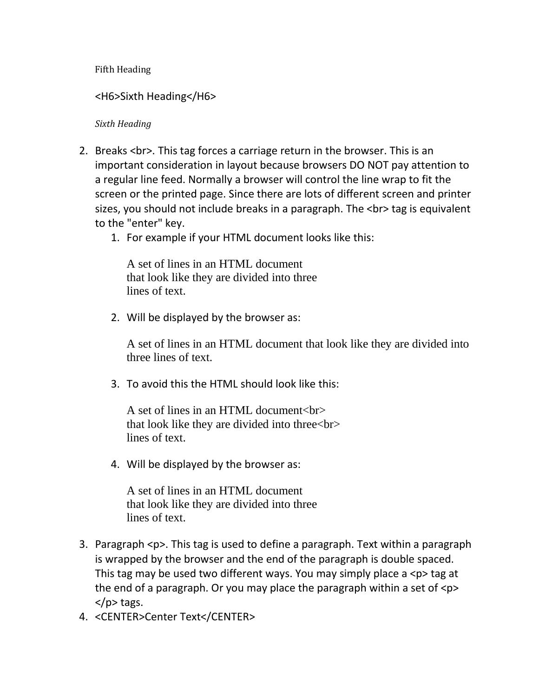Fifth Heading

<H6>Sixth Heading</H6>

*Sixth Heading*

- 2. Breaks <br>>>br>. This tag forces a carriage return in the browser. This is an important consideration in layout because browsers DO NOT pay attention to a regular line feed. Normally a browser will control the line wrap to fit the screen or the printed page. Since there are lots of different screen and printer sizes, you should not include breaks in a paragraph. The <br> tag is equivalent to the "enter" key.
	- 1. For example if your HTML document looks like this:

A set of lines in an HTML document that look like they are divided into three lines of text.

2. Will be displayed by the browser as:

A set of lines in an HTML document that look like they are divided into three lines of text.

3. To avoid this the HTML should look like this:

A set of lines in an HTML document<br> that look like they are divided into three<br> lines of text.

4. Will be displayed by the browser as:

A set of lines in an HTML document that look like they are divided into three lines of text.

- 3. Paragraph <p>. This tag is used to define a paragraph. Text within a paragraph is wrapped by the browser and the end of the paragraph is double spaced. This tag may be used two different ways. You may simply place a <p> tag at the end of a paragraph. Or you may place the paragraph within a set of  $\langle p \rangle$  $<$ /p $>$  tags.
- 4. <CENTER>Center Text</CENTER>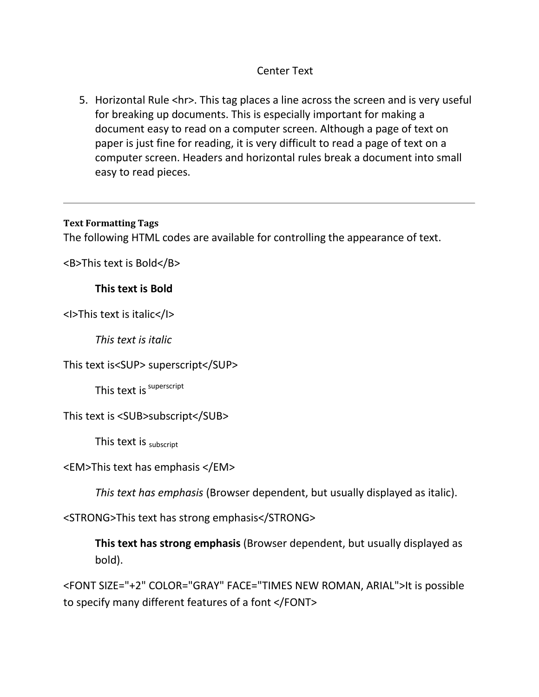## Center Text

5. Horizontal Rule <hr>. This tag places a line across the screen and is very useful for breaking up documents. This is especially important for making a document easy to read on a computer screen. Although a page of text on paper is just fine for reading, it is very difficult to read a page of text on a computer screen. Headers and horizontal rules break a document into small easy to read pieces.

#### **Text Formatting Tags**

The following HTML codes are available for controlling the appearance of text.

<B>This text is Bold</B>

### **This text is Bold**

<I>This text is italic</I>

*This text is italic*

This text is<SUP> superscript</SUP>

This text is superscript

This text is <SUB>subscript</SUB>

This text is  $subscript$ 

<EM>This text has emphasis </EM>

*This text has emphasis* (Browser dependent, but usually displayed as italic).

<STRONG>This text has strong emphasis</STRONG>

**This text has strong emphasis** (Browser dependent, but usually displayed as bold).

<FONT SIZE="+2" COLOR="GRAY" FACE="TIMES NEW ROMAN, ARIAL">It is possible to specify many different features of a font </FONT>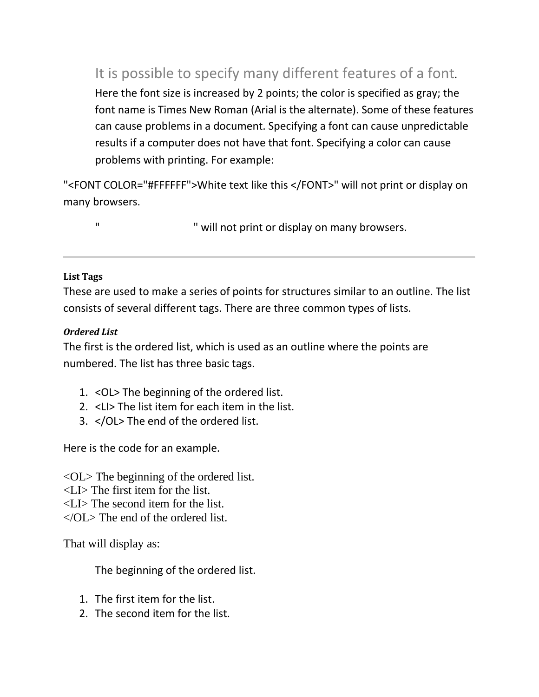It is possible to specify many different features of a font. Here the font size is increased by 2 points; the color is specified as gray; the font name is Times New Roman (Arial is the alternate). Some of these features can cause problems in a document. Specifying a font can cause unpredictable results if a computer does not have that font. Specifying a color can cause problems with printing. For example:

"<FONT COLOR="#FFFFFF">White text like this </FONT>" will not print or display on many browsers.

" White this text is the " will not print or display on many browsers.

### **List Tags**

These are used to make a series of points for structures similar to an outline. The list consists of several different tags. There are three common types of lists.

## *Ordered List*

The first is the ordered list, which is used as an outline where the points are numbered. The list has three basic tags.

- 1. <OL> The beginning of the ordered list.
- 2. <LI> The list item for each item in the list.
- 3. </OL> The end of the ordered list.

Here is the code for an example.

<OL> The beginning of the ordered list.

- <LI> The first item for the list.
- <LI> The second item for the list.
- </OL> The end of the ordered list.

That will display as:

The beginning of the ordered list.

- 1. The first item for the list.
- 2. The second item for the list.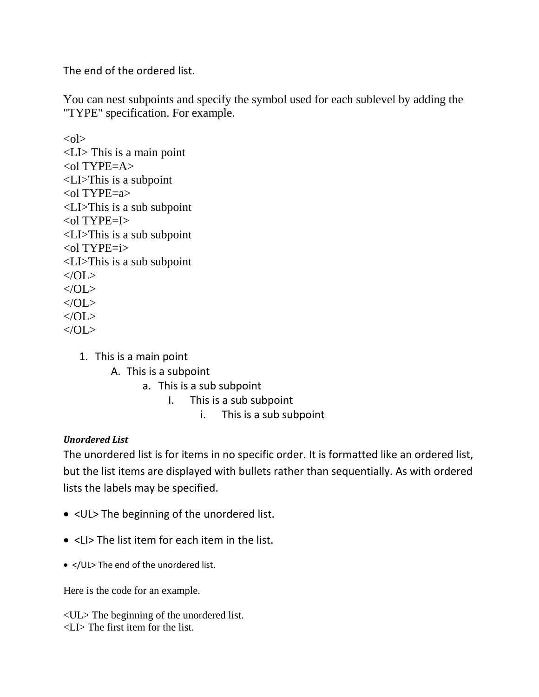The end of the ordered list.

You can nest subpoints and specify the symbol used for each sublevel by adding the "TYPE" specification. For example.

 $\langle$ ol $>$ <LI> This is a main point  $\langle$ ol TYPE=A $>$ <LI>This is a subpoint <ol TYPE=a> <LI>This is a sub subpoint  $\langle$ ol TYPE=I $>$ <LI>This is a sub subpoint <ol TYPE=i> <LI>This is a sub subpoint </OL>  $<$ /OL> </OL>  $\langle$  /OL $\rangle$  $<$ /OL $>$ 

- 1. This is a main point
	- A. This is a subpoint
		- a. This is a sub subpoint
			- I. This is a sub subpoint
				- i. This is a sub subpoint

## *Unordered List*

The unordered list is for items in no specific order. It is formatted like an ordered list, but the list items are displayed with bullets rather than sequentially. As with ordered lists the labels may be specified.

- <UL> The beginning of the unordered list.
- <LI> The list item for each item in the list.
- </UL> The end of the unordered list.

Here is the code for an example.

<UL> The beginning of the unordered list. <LI> The first item for the list.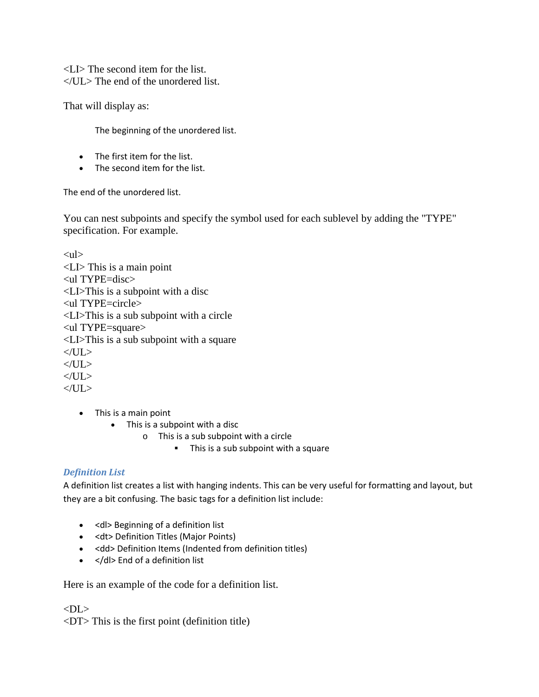<LI> The second item for the list.  $\langle$ UL $>$  The end of the unordered list.

That will display as:

The beginning of the unordered list.

- The first item for the list.
- The second item for the list.

The end of the unordered list.

You can nest subpoints and specify the symbol used for each sublevel by adding the "TYPE" specification. For example.

```
\langleul\rangle<LI> This is a main point
<ul TYPE=disc>
<LI>This is a subpoint with a disc
<ul TYPE=circle>
<LI>This is a sub subpoint with a circle
<ul TYPE=square>
<LI>This is a sub subpoint with a square
</UL>
</UL>\langle/UL>
\langle/UL\rangle
```
- This is a main point
	- This is a subpoint with a disc
		- o This is a sub subpoint with a circle
			- This is a sub subpoint with a square

#### *Definition List*

A definition list creates a list with hanging indents. This can be very useful for formatting and layout, but they are a bit confusing. The basic tags for a definition list include:

- <dl> Beginning of a definition list
- <dt> Definition Titles (Major Points)
- <dd> Definition Items (Indented from definition titles)
- </dl> End of a definition list

Here is an example of the code for a definition list.

 $<$ DL $>$ 

<DT> This is the first point (definition title)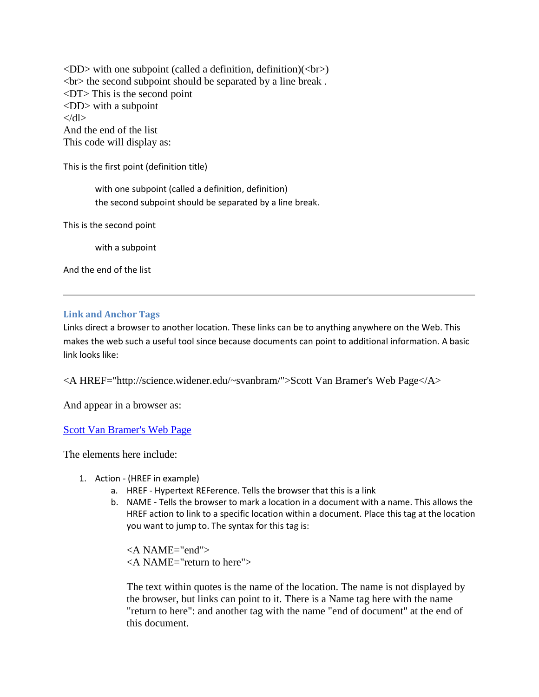$\langle$ DD $>$  with one subpoint (called a definition, definition)( $\langle$ br $>$ )  $\langle$ br $>$  the second subpoint should be separated by a line break. <DT> This is the second point <DD> with a subpoint  $\langle d|$ And the end of the list This code will display as:

This is the first point (definition title)

with one subpoint (called a definition, definition) the second subpoint should be separated by a line break.

This is the second point

with a subpoint

And the end of the list

#### **Link and Anchor Tags**

Links direct a browser to another location. These links can be to anything anywhere on the Web. This makes the web such a useful tool since because documents can point to additional information. A basic link looks like:

<A HREF="http://science.widener.edu/~svanbram/">Scott Van Bramer's Web Page</A>

And appear in a browser as:

#### [Scott Van Bramer's Web Page](http://science.widener.edu/~svanbram/)

The elements here include:

- 1. Action (HREF in example)
	- a. HREF Hypertext REFerence. Tells the browser that this is a link
	- b. NAME Tells the browser to mark a location in a document with a name. This allows the HREF action to link to a specific location within a document. Place this tag at the location you want to jump to. The syntax for this tag is:

<A NAME="end"> <A NAME="return to here">

The text within quotes is the name of the location. The name is not displayed by the browser, but links can point to it. There is a Name tag here with the name "return to here": and another tag with the name "end of document" at the end of this document.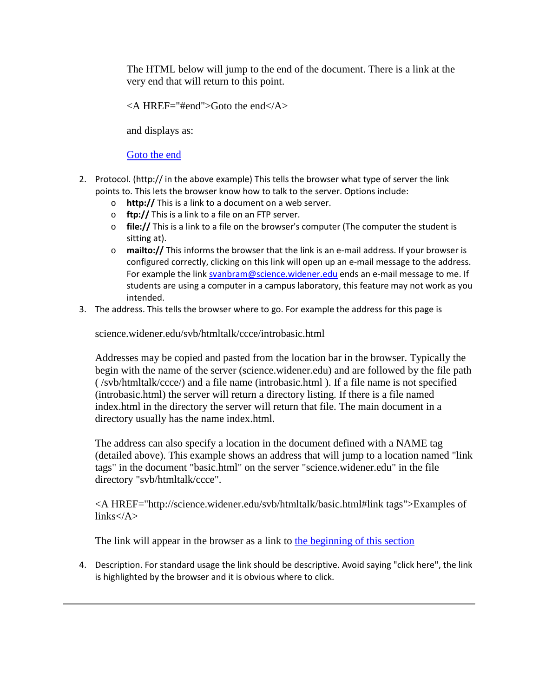The HTML below will jump to the end of the document. There is a link at the very end that will return to this point.

 $\leq$ A HREF="#end">Goto the end $\leq$ A>

and displays as:

#### [Goto the end](http://science.widener.edu/svb/htmltalk/ccce/introprint.html#end)

- 2. Protocol. (http:// in the above example) This tells the browser what type of server the link points to. This lets the browser know how to talk to the server. Options include:
	- o **http://** This is a link to a document on a web server.
	- o **ftp://** This is a link to a file on an FTP server.
	- o **file://** This is a link to a file on the browser's computer (The computer the student is sitting at).
	- o **mailto://** This informs the browser that the link is an e-mail address. If your browser is configured correctly, clicking on this link will open up an e-mail message to the address. For example the link [svanbram@science.widener.edu](mailto:svanbram@science.widener.edu) ends an e-mail message to me. If students are using a computer in a campus laboratory, this feature may not work as you intended.
- 3. The address. This tells the browser where to go. For example the address for this page is

science.widener.edu/svb/htmltalk/ccce/introbasic.html

Addresses may be copied and pasted from the location bar in the browser. Typically the begin with the name of the server (science.widener.edu) and are followed by the file path ( /svb/htmltalk/ccce/) and a file name (introbasic.html ). If a file name is not specified (introbasic.html) the server will return a directory listing. If there is a file named index.html in the directory the server will return that file. The main document in a directory usually has the name index.html.

The address can also specify a location in the document defined with a NAME tag (detailed above). This example shows an address that will jump to a location named "link tags" in the document "basic.html" on the server "science.widener.edu" in the file directory "svb/htmltalk/ccce".

<A HREF="http://science.widener.edu/svb/htmltalk/basic.html#link tags">Examples of  $links$ 

The link will appear in the browser as a link to [the beginning of this section](http://science.widener.edu/svb/htmltalk/ccce/basic.html#link tags)

4. Description. For standard usage the link should be descriptive. Avoid saying "click here", the link is highlighted by the browser and it is obvious where to click.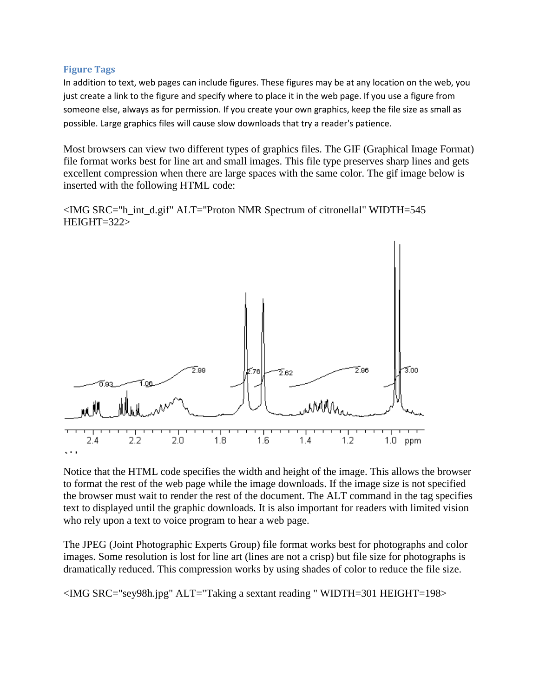#### **Figure Tags**

In addition to text, web pages can include figures. These figures may be at any location on the web, you just create a link to the figure and specify where to place it in the web page. If you use a figure from someone else, always as for permission. If you create your own graphics, keep the file size as small as possible. Large graphics files will cause slow downloads that try a reader's patience.

Most browsers can view two different types of graphics files. The GIF (Graphical Image Format) file format works best for line art and small images. This file type preserves sharp lines and gets excellent compression when there are large spaces with the same color. The gif image below is inserted with the following HTML code:

<IMG SRC="h\_int\_d.gif" ALT="Proton NMR Spectrum of citronellal" WIDTH=545 HEIGHT=322>



Notice that the HTML code specifies the width and height of the image. This allows the browser to format the rest of the web page while the image downloads. If the image size is not specified the browser must wait to render the rest of the document. The ALT command in the tag specifies text to displayed until the graphic downloads. It is also important for readers with limited vision who rely upon a text to voice program to hear a web page.

The JPEG (Joint Photographic Experts Group) file format works best for photographs and color images. Some resolution is lost for line art (lines are not a crisp) but file size for photographs is dramatically reduced. This compression works by using shades of color to reduce the file size.

<IMG SRC="sey98h.jpg" ALT="Taking a sextant reading " WIDTH=301 HEIGHT=198>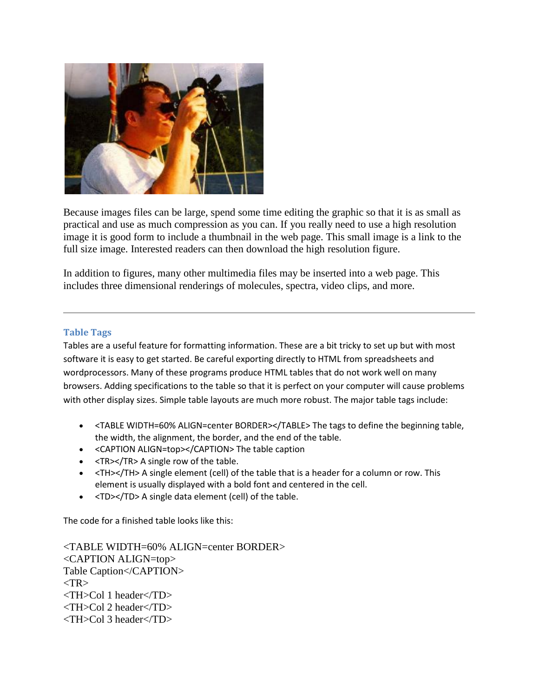

Because images files can be large, spend some time editing the graphic so that it is as small as practical and use as much compression as you can. If you really need to use a high resolution image it is good form to include a thumbnail in the web page. This small image is a link to the full size image. Interested readers can then download the high resolution figure.

In addition to figures, many other multimedia files may be inserted into a web page. This includes three dimensional renderings of molecules, spectra, video clips, and more.

#### **Table Tags**

Tables are a useful feature for formatting information. These are a bit tricky to set up but with most software it is easy to get started. Be careful exporting directly to HTML from spreadsheets and wordprocessors. Many of these programs produce HTML tables that do not work well on many browsers. Adding specifications to the table so that it is perfect on your computer will cause problems with other display sizes. Simple table layouts are much more robust. The major table tags include:

- <TABLE WIDTH=60% ALIGN=center BORDER></TABLE> The tags to define the beginning table, the width, the alignment, the border, and the end of the table.
- <CAPTION ALIGN=top></CAPTION> The table caption
- <TR></TR> A single row of the table.
- <TH></TH> A single element (cell) of the table that is a header for a column or row. This element is usually displayed with a bold font and centered in the cell.
- <TD></TD> A single data element (cell) of the table.

The code for a finished table looks like this:

<TABLE WIDTH=60% ALIGN=center BORDER> <CAPTION ALIGN=top> Table Caption</CAPTION>  $<$ TR $>$ <TH>Col 1 header</TD> <TH>Col 2 header</TD> <TH>Col 3 header</TD>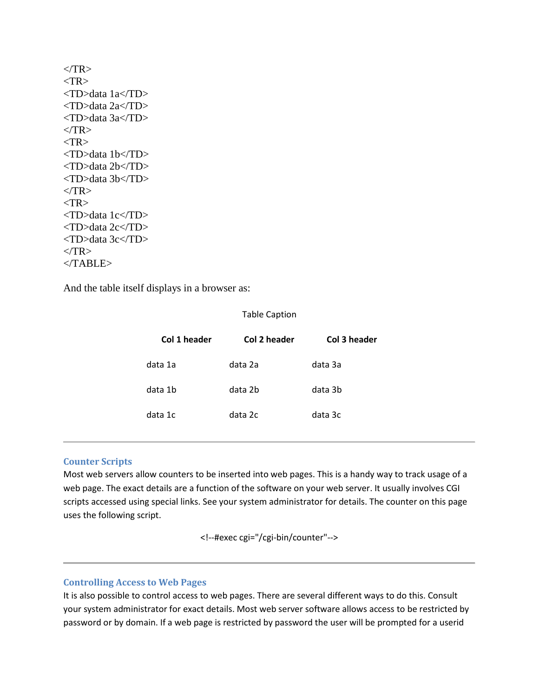| $<$ TR>           |         |
|-------------------|---------|
| $<$ TR>           |         |
| <td>data 1a</td>  | data 1a |
| <td>data 2a</td>  | data 2a |
| <td>data 3a</td>  | data 3a |
| $<$ TR>           |         |
| $<$ TR>           |         |
| <td>data 1b</td>  | data 1b |
| <td>data 2b</td>  | data 2b |
| <td>data 3b</td>  | data 3b |
| $<$ /TR>          |         |
| $<$ TR>           |         |
| <td>data 1c</td>  | data 1c |
| <td>data 2c</td>  | data 2c |
| <td>data 3c</td>  | data 3c |
| $\langle T$ R $>$ |         |
| $<$ TABLE>        |         |

And the table itself displays in a browser as:

#### Table Caption

| Col 1 header | Col 2 header | Col 3 header |
|--------------|--------------|--------------|
| data 1a      | data 2a      | data 3a      |
| data 1b      | data 2b      | data 3b      |
| data 1c      | data 2c      | data 3c      |

#### **Counter Scripts**

Most web servers allow counters to be inserted into web pages. This is a handy way to track usage of a web page. The exact details are a function of the software on your web server. It usually involves CGI scripts accessed using special links. See your system administrator for details. The counter on this page uses the following script.

<!--#exec cgi="/cgi-bin/counter"-->

#### **Controlling Access to Web Pages**

It is also possible to control access to web pages. There are several different ways to do this. Consult your system administrator for exact details. Most web server software allows access to be restricted by password or by domain. If a web page is restricted by password the user will be prompted for a userid